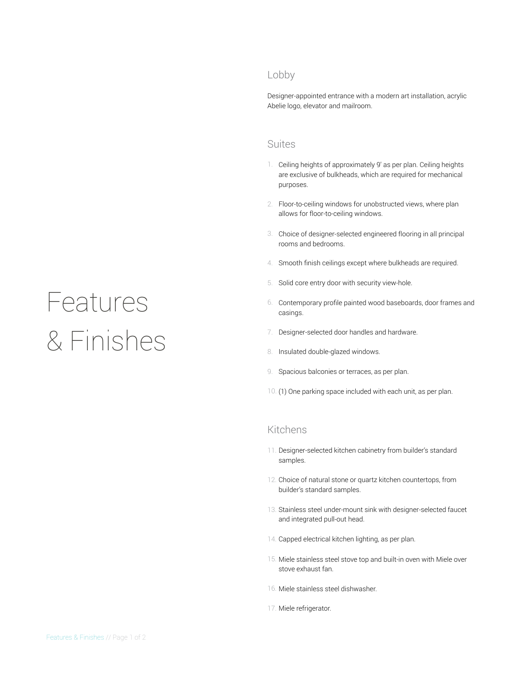# Features & Finishes

# Lobby

Designer-appointed entrance with a modern art installation, acrylic Abelie logo, elevator and mailroom.

## Suites

- 1. Ceiling heights of approximately 9' as per plan. Ceiling heights are exclusive of bulkheads, which are required for mechanical purposes.
- 2. Floor-to-ceiling windows for unobstructed views, where plan allows for floor-to-ceiling windows.
- 3. Choice of designer-selected engineered flooring in all principal rooms and bedrooms.
- 4. Smooth finish ceilings except where bulkheads are required.
- 5. Solid core entry door with security view-hole.
- 6. Contemporary profile painted wood baseboards, door frames and casings.
- 7. Designer-selected door handles and hardware.
- 8. Insulated double-glazed windows.
- 9. Spacious balconies or terraces, as per plan.
- 10. (1) One parking space included with each unit, as per plan.

# Kitchens

- 11. Designer-selected kitchen cabinetry from builder's standard samples.
- 12. Choice of natural stone or quartz kitchen countertops, from builder's standard samples.
- 13. Stainless steel under-mount sink with designer-selected faucet and integrated pull-out head.
- 14. Capped electrical kitchen lighting, as per plan.
- 15. Miele stainless steel stove top and built-in oven with Miele over stove exhaust fan.
- 16. Miele stainless steel dishwasher.
- 17. Miele refrigerator.